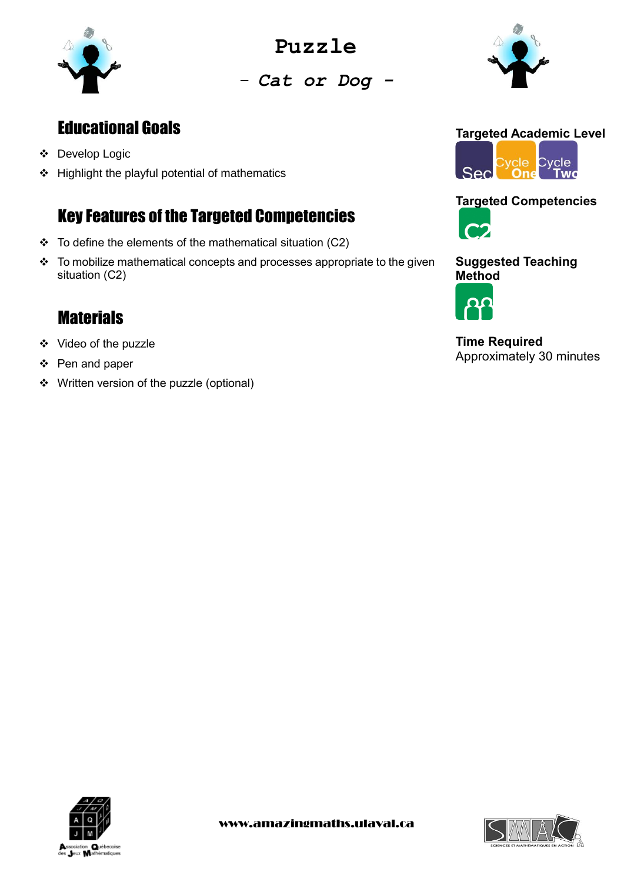

**Puzzle**

- *Cat or Dog -*

# Educational Goals

- ❖ Develop Logic
- ❖ Highlight the playful potential of mathematics

## Key Features of the Targeted Competencies

- $\div$  To define the elements of the mathematical situation (C2)
- ❖ To mobilize mathematical concepts and processes appropriate to the given situation (C2)

# **Materials**

- ❖ Video of the puzzle
- ❖ Pen and paper
- ❖ Written version of the puzzle (optional)



## **Targeted Competencies**



#### **Suggested Teaching Method**



**Time Required** Approximately 30 minutes